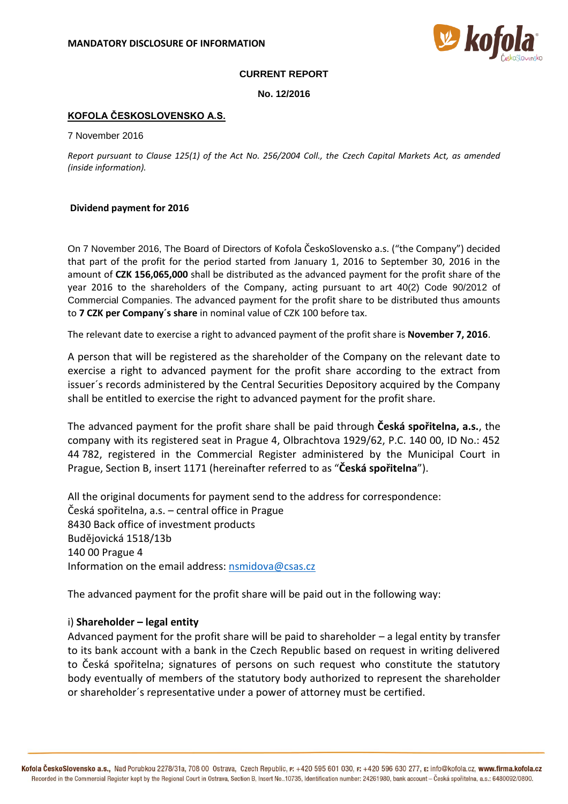

#### **CURRENT REPORT**

**No. 12/2016**

## **KOFOLA ČESKOSLOVENSKO A.S.**

7 November 2016

*Report pursuant to Clause 125(1) of the Act No. 256/2004 Coll., the Czech Capital Markets Act, as amended (inside information).*

#### **Dividend payment for 2016**

On 7 November 2016, The Board of Directors of Kofola ČeskoSlovensko a.s. ("the Company") decided that part of the profit for the period started from January 1, 2016 to September 30, 2016 in the amount of **CZK 156,065,000** shall be distributed as the advanced payment for the profit share of the year 2016 to the shareholders of the Company, acting pursuant to art 40(2) Code 90/2012 of Commercial Companies. The advanced payment for the profit share to be distributed thus amounts to **7 CZK per Company´s share** in nominal value of CZK 100 before tax.

The relevant date to exercise a right to advanced payment of the profit share is **November 7, 2016**.

A person that will be registered as the shareholder of the Company on the relevant date to exercise a right to advanced payment for the profit share according to the extract from issuer´s records administered by the Central Securities Depository acquired by the Company shall be entitled to exercise the right to advanced payment for the profit share.

The advanced payment for the profit share shall be paid through **Česká spořitelna, a.s.**, the company with its registered seat in Prague 4, Olbrachtova 1929/62, P.C. 140 00, ID No.: 452 44 782, registered in the Commercial Register administered by the Municipal Court in Prague, Section B, insert 1171 (hereinafter referred to as "**Česká spořitelna**").

All the original documents for payment send to the address for correspondence: Česká spořitelna, a.s. – central office in Prague 8430 Back office of investment products Budějovická 1518/13b 140 00 Prague 4 Information on the email address: [nsmidova@csas.cz](mailto:nsmidova@csas.cz)

The advanced payment for the profit share will be paid out in the following way:

## i) **Shareholder – legal entity**

Advanced payment for the profit share will be paid to shareholder – a legal entity by transfer to its bank account with a bank in the Czech Republic based on request in writing delivered to Česká spořitelna; signatures of persons on such request who constitute the statutory body eventually of members of the statutory body authorized to represent the shareholder or shareholder´s representative under a power of attorney must be certified.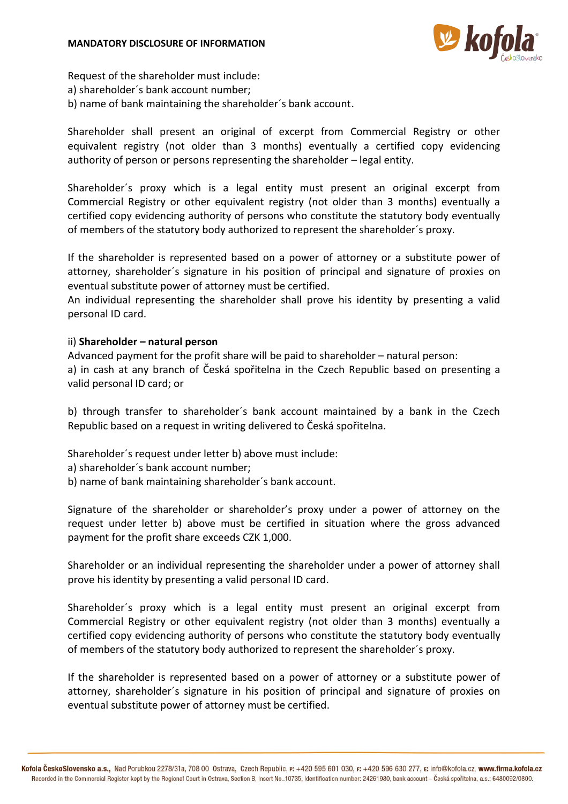

Request of the shareholder must include:

- a) shareholder´s bank account number;
- b) name of bank maintaining the shareholder´s bank account.

Shareholder shall present an original of excerpt from Commercial Registry or other equivalent registry (not older than 3 months) eventually a certified copy evidencing authority of person or persons representing the shareholder – legal entity.

Shareholder´s proxy which is a legal entity must present an original excerpt from Commercial Registry or other equivalent registry (not older than 3 months) eventually a certified copy evidencing authority of persons who constitute the statutory body eventually of members of the statutory body authorized to represent the shareholder´s proxy.

If the shareholder is represented based on a power of attorney or a substitute power of attorney, shareholder´s signature in his position of principal and signature of proxies on eventual substitute power of attorney must be certified.

An individual representing the shareholder shall prove his identity by presenting a valid personal ID card.

# ii) **Shareholder – natural person**

Advanced payment for the profit share will be paid to shareholder – natural person: a) in cash at any branch of Česká spořitelna in the Czech Republic based on presenting a valid personal ID card; or

b) through transfer to shareholder´s bank account maintained by a bank in the Czech Republic based on a request in writing delivered to Česká spořitelna.

Shareholder´s request under letter b) above must include:

a) shareholder´s bank account number;

b) name of bank maintaining shareholder´s bank account.

Signature of the shareholder or shareholder's proxy under a power of attorney on the request under letter b) above must be certified in situation where the gross advanced payment for the profit share exceeds CZK 1,000.

Shareholder or an individual representing the shareholder under a power of attorney shall prove his identity by presenting a valid personal ID card.

Shareholder´s proxy which is a legal entity must present an original excerpt from Commercial Registry or other equivalent registry (not older than 3 months) eventually a certified copy evidencing authority of persons who constitute the statutory body eventually of members of the statutory body authorized to represent the shareholder´s proxy.

If the shareholder is represented based on a power of attorney or a substitute power of attorney, shareholder´s signature in his position of principal and signature of proxies on eventual substitute power of attorney must be certified.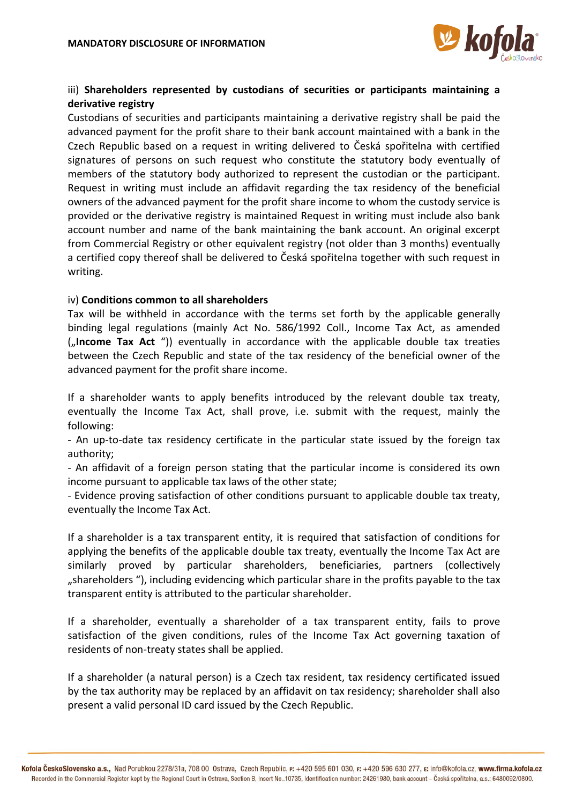

# iii) **Shareholders represented by custodians of securities or participants maintaining a derivative registry**

Custodians of securities and participants maintaining a derivative registry shall be paid the advanced payment for the profit share to their bank account maintained with a bank in the Czech Republic based on a request in writing delivered to Česká spořitelna with certified signatures of persons on such request who constitute the statutory body eventually of members of the statutory body authorized to represent the custodian or the participant. Request in writing must include an affidavit regarding the tax residency of the beneficial owners of the advanced payment for the profit share income to whom the custody service is provided or the derivative registry is maintained Request in writing must include also bank account number and name of the bank maintaining the bank account. An original excerpt from Commercial Registry or other equivalent registry (not older than 3 months) eventually a certified copy thereof shall be delivered to Česká spořitelna together with such request in writing.

# iv) **Conditions common to all shareholders**

Tax will be withheld in accordance with the terms set forth by the applicable generally binding legal regulations (mainly Act No. 586/1992 Coll., Income Tax Act, as amended ("Income Tax Act ")) eventually in accordance with the applicable double tax treaties between the Czech Republic and state of the tax residency of the beneficial owner of the advanced payment for the profit share income.

If a shareholder wants to apply benefits introduced by the relevant double tax treaty, eventually the Income Tax Act, shall prove, i.e. submit with the request, mainly the following:

- An up-to-date tax residency certificate in the particular state issued by the foreign tax authority;

- An affidavit of a foreign person stating that the particular income is considered its own income pursuant to applicable tax laws of the other state;

- Evidence proving satisfaction of other conditions pursuant to applicable double tax treaty, eventually the Income Tax Act.

If a shareholder is a tax transparent entity, it is required that satisfaction of conditions for applying the benefits of the applicable double tax treaty, eventually the Income Tax Act are similarly proved by particular shareholders, beneficiaries, partners (collectively ", shareholders "), including evidencing which particular share in the profits payable to the tax transparent entity is attributed to the particular shareholder.

If a shareholder, eventually a shareholder of a tax transparent entity, fails to prove satisfaction of the given conditions, rules of the Income Tax Act governing taxation of residents of non-treaty states shall be applied.

If a shareholder (a natural person) is a Czech tax resident, tax residency certificated issued by the tax authority may be replaced by an affidavit on tax residency; shareholder shall also present a valid personal ID card issued by the Czech Republic.